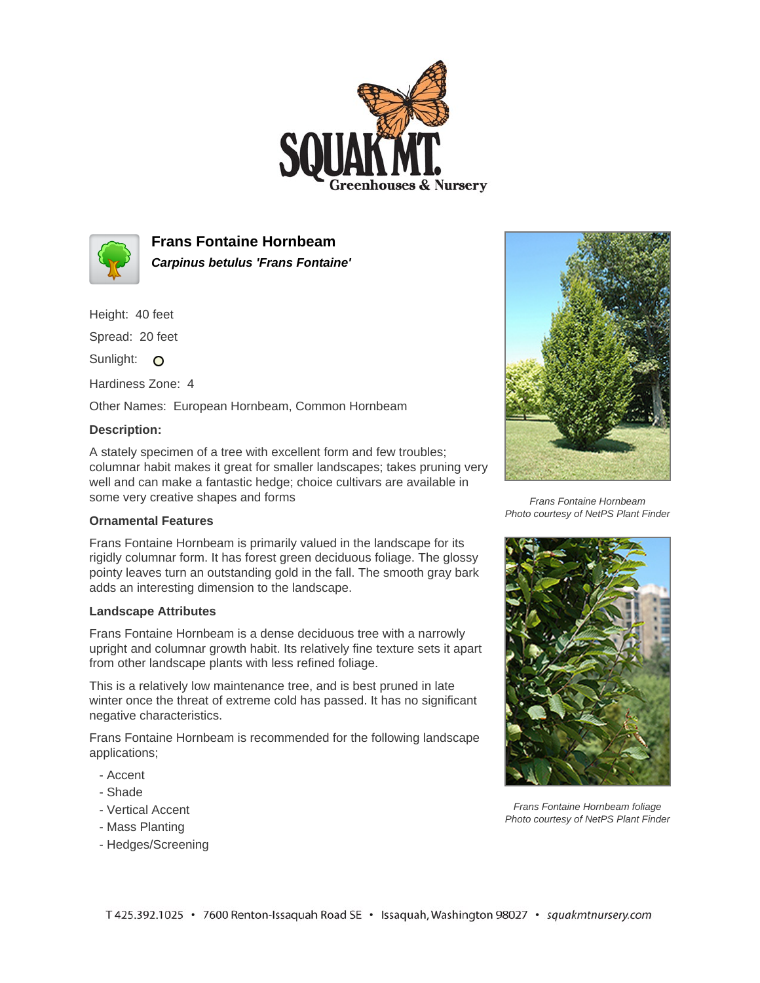



**Frans Fontaine Hornbeam Carpinus betulus 'Frans Fontaine'**

Height: 40 feet Spread: 20 feet

Sunlight: O

Hardiness Zone: 4

Other Names: European Hornbeam, Common Hornbeam

## **Description:**

A stately specimen of a tree with excellent form and few troubles; columnar habit makes it great for smaller landscapes; takes pruning very well and can make a fantastic hedge; choice cultivars are available in some very creative shapes and forms

## **Ornamental Features**

Frans Fontaine Hornbeam is primarily valued in the landscape for its rigidly columnar form. It has forest green deciduous foliage. The glossy pointy leaves turn an outstanding gold in the fall. The smooth gray bark adds an interesting dimension to the landscape.

## **Landscape Attributes**

Frans Fontaine Hornbeam is a dense deciduous tree with a narrowly upright and columnar growth habit. Its relatively fine texture sets it apart from other landscape plants with less refined foliage.

This is a relatively low maintenance tree, and is best pruned in late winter once the threat of extreme cold has passed. It has no significant negative characteristics.

Frans Fontaine Hornbeam is recommended for the following landscape applications;

- Accent
- Shade
- Vertical Accent
- Mass Planting
- Hedges/Screening



Frans Fontaine Hornbeam Photo courtesy of NetPS Plant Finder



Frans Fontaine Hornbeam foliage Photo courtesy of NetPS Plant Finder